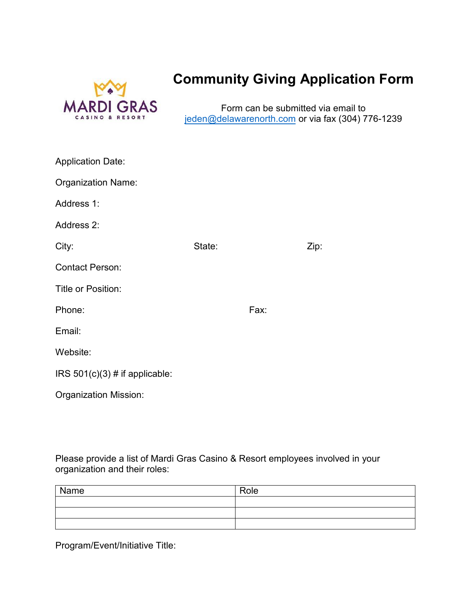

## **Community Giving Application Form**

Form can be submitted via email to jeden[@delawarenorth.com](mailto:jeden@delawarenorth.com) or via fax (304) 776-1239

| <b>Application Date:</b>         |        |      |      |
|----------------------------------|--------|------|------|
| <b>Organization Name:</b>        |        |      |      |
| Address 1:                       |        |      |      |
| Address 2:                       |        |      |      |
| City:                            | State: |      | Zip: |
| <b>Contact Person:</b>           |        |      |      |
| Title or Position:               |        |      |      |
| Phone:                           |        | Fax: |      |
| Email:                           |        |      |      |
| Website:                         |        |      |      |
| IRS $501(c)(3)$ # if applicable: |        |      |      |
| <b>Organization Mission:</b>     |        |      |      |

Please provide a list of Mardi Gras Casino & Resort employees involved in your organization and their roles:

| Name | Role |
|------|------|
|      |      |
|      |      |
|      |      |

Program/Event/Initiative Title: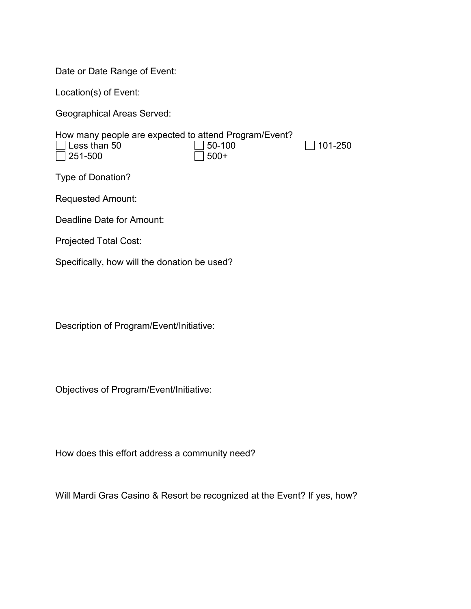Date or Date Range of Event:

Location(s) of Event:

Geographical Areas Served:

| How many people are expected to attend Program/Event? |             |                 |  |
|-------------------------------------------------------|-------------|-----------------|--|
| $\Box$ Less than 50                                   | $ $ 150-100 | $\vert$ 101-250 |  |
| $\Box$ 251-500                                        | $ $ 500+    |                 |  |
| Type of Donation?                                     |             |                 |  |

Requested Amount:

Deadline Date for Amount:

Projected Total Cost:

Specifically, how will the donation be used?

Description of Program/Event/Initiative:

Objectives of Program/Event/Initiative:

How does this effort address a community need?

Will Mardi Gras Casino & Resort be recognized at the Event? If yes, how?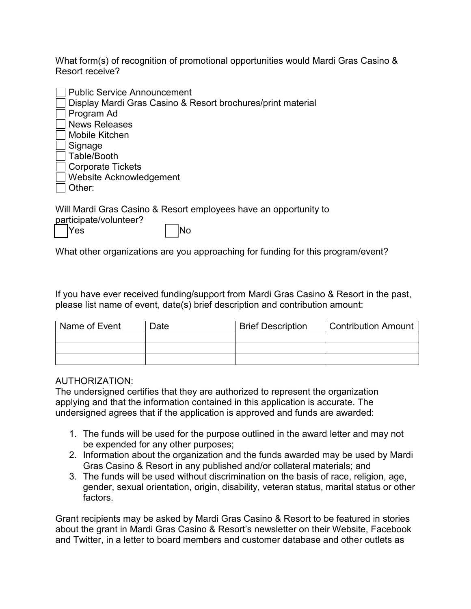What form(s) of recognition of promotional opportunities would Mardi Gras Casino & Resort receive?

| <b>Public Service Announcement</b>                                      |
|-------------------------------------------------------------------------|
| Display Mardi Gras Casino & Resort brochures/print material             |
| Program Ad                                                              |
| <b>News Releases</b>                                                    |
| Mobile Kitchen                                                          |
| Signage                                                                 |
| Table/Booth                                                             |
| <b>Corporate Tickets</b>                                                |
| Website Acknowledgement                                                 |
| Other:                                                                  |
| Will Mardi Gras Casino & Resort employees have an opportunity to<br>. 0 |

| participate/volunteer? |            |
|------------------------|------------|
| <b>Yes</b>             | <b>INo</b> |

What other organizations are you approaching for funding for this program/event?

If you have ever received funding/support from Mardi Gras Casino & Resort in the past, please list name of event, date(s) brief description and contribution amount:

| Name of Event | Date | <b>Brief Description</b> | <b>Contribution Amount</b> |
|---------------|------|--------------------------|----------------------------|
|               |      |                          |                            |
|               |      |                          |                            |
|               |      |                          |                            |

## AUTHORIZATION:

The undersigned certifies that they are authorized to represent the organization applying and that the information contained in this application is accurate. The undersigned agrees that if the application is approved and funds are awarded:

- 1. The funds will be used for the purpose outlined in the award letter and may not be expended for any other purposes;
- 2. Information about the organization and the funds awarded may be used by Mardi Gras Casino & Resort in any published and/or collateral materials; and
- 3. The funds will be used without discrimination on the basis of race, religion, age, gender, sexual orientation, origin, disability, veteran status, marital status or other factors.

Grant recipients may be asked by Mardi Gras Casino & Resort to be featured in stories about the grant in Mardi Gras Casino & Resort's newsletter on their Website, Facebook and Twitter, in a letter to board members and customer database and other outlets as